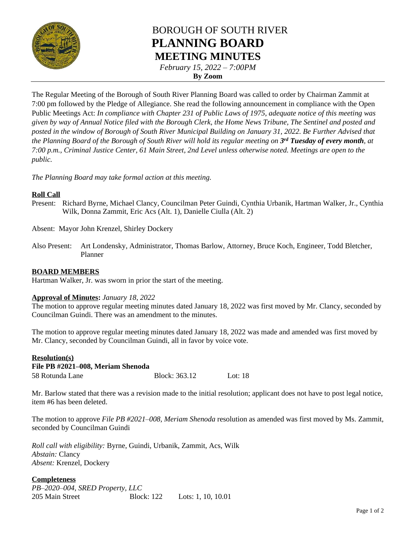

# BOROUGH OF SOUTH RIVER **PLANNING BOARD MEETING MINUTES**

*February 15, 2022 – 7:00PM*

**By Zoom**

The Regular Meeting of the Borough of South River Planning Board was called to order by Chairman Zammit at 7:00 pm followed by the Pledge of Allegiance. She read the following announcement in compliance with the Open Public Meetings Act: *In compliance with Chapter 231 of Public Laws of 1975, adequate notice of this meeting was given by way of Annual Notice filed with the Borough Clerk, the Home News Tribune, The Sentinel and posted and posted in the window of Borough of South River Municipal Building on January 31, 2022. Be Further Advised that the Planning Board of the Borough of South River will hold its regular meeting on 3 rd Tuesday of every month, at 7:00 p.m., Criminal Justice Center, 61 Main Street, 2nd Level unless otherwise noted. Meetings are open to the public.*

*The Planning Board may take formal action at this meeting.*

## **Roll Call**

Present: Richard Byrne, Michael Clancy, Councilman Peter Guindi, Cynthia Urbanik, Hartman Walker, Jr., Cynthia Wilk, Donna Zammit, Eric Acs (Alt. 1), Danielle Ciulla (Alt. 2)

Absent: Mayor John Krenzel, Shirley Dockery

Also Present: Art Londensky, Administrator, Thomas Barlow, Attorney, Bruce Koch, Engineer, Todd Bletcher, Planner

# **BOARD MEMBERS**

Hartman Walker, Jr. was sworn in prior the start of the meeting.

### **Approval of Minutes:** *January 18, 2022*

The motion to approve regular meeting minutes dated January 18, 2022 was first moved by Mr. Clancy, seconded by Councilman Guindi. There was an amendment to the minutes.

The motion to approve regular meeting minutes dated January 18, 2022 was made and amended was first moved by Mr. Clancy, seconded by Councilman Guindi, all in favor by voice vote.

# **Resolution(s) File PB #2021–008, Meriam Shenoda** 58 Rotunda Lane Block: 363.12 Lot: 18

Mr. Barlow stated that there was a revision made to the initial resolution; applicant does not have to post legal notice, item #6 has been deleted.

The motion to approve *File PB #2021–008, Meriam Shenoda* resolution as amended was first moved by Ms. Zammit, seconded by Councilman Guindi

*Roll call with eligibility:* Byrne, Guindi, Urbanik, Zammit, Acs, Wilk *Abstain:* Clancy *Absent:* Krenzel, Dockery

### **Completeness**

| PB-2020-004, SRED Property, LLC |                   |                      |
|---------------------------------|-------------------|----------------------|
| 205 Main Street                 | <b>Block:</b> 122 | Lots: 1, 10, $10.01$ |